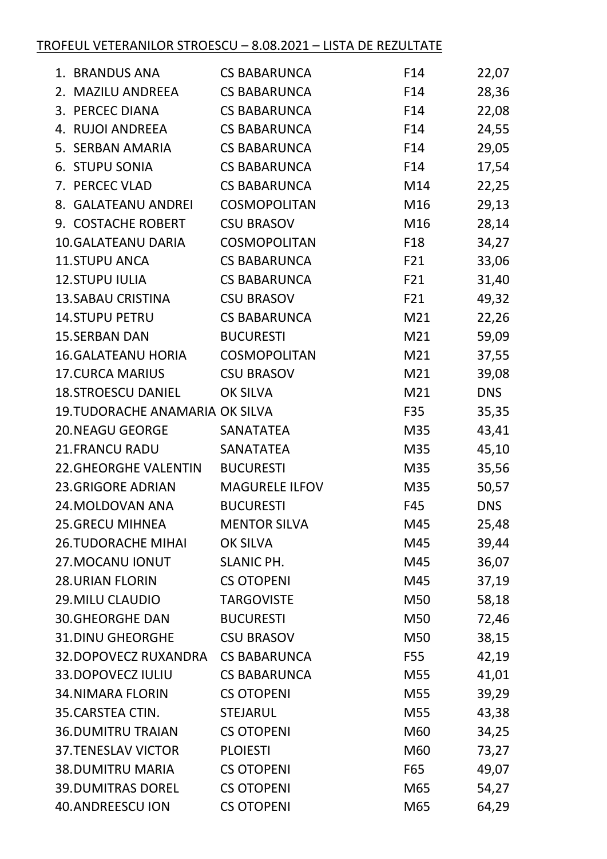## TROFEUL VETERANILOR STROESCU – 8.08.2021 – LISTA DE REZULTATE

|    | 1. BRANDUS ANA                         | <b>CS BABARUNCA</b>   | F14 | 22,07      |
|----|----------------------------------------|-----------------------|-----|------------|
| 2. | <b>MAZILU ANDREEA</b>                  | <b>CS BABARUNCA</b>   | F14 | 28,36      |
|    | 3. PERCEC DIANA                        | <b>CS BABARUNCA</b>   | F14 | 22,08      |
|    | 4. RUJOI ANDREEA                       | <b>CS BABARUNCA</b>   | F14 | 24,55      |
|    | 5. SERBAN AMARIA                       | <b>CS BABARUNCA</b>   | F14 | 29,05      |
|    | 6. STUPU SONIA                         | <b>CS BABARUNCA</b>   | F14 | 17,54      |
|    | 7. PERCEC VLAD                         | <b>CS BABARUNCA</b>   | M14 | 22,25      |
|    | 8. GALATEANU ANDREI                    | COSMOPOLITAN          | M16 | 29,13      |
|    | 9. COSTACHE ROBERT                     | <b>CSU BRASOV</b>     | M16 | 28,14      |
|    | <b>10.GALATEANU DARIA</b>              | COSMOPOLITAN          | F18 | 34,27      |
|    | 11.STUPU ANCA                          | <b>CS BABARUNCA</b>   | F21 | 33,06      |
|    | <b>12.STUPU IULIA</b>                  | <b>CS BABARUNCA</b>   | F21 | 31,40      |
|    | <b>13.SABAU CRISTINA</b>               | <b>CSU BRASOV</b>     | F21 | 49,32      |
|    | <b>14.STUPU PETRU</b>                  | <b>CS BABARUNCA</b>   | M21 | 22,26      |
|    | <b>15.SERBAN DAN</b>                   | <b>BUCURESTI</b>      | M21 | 59,09      |
|    | <b>16. GALATEANU HORIA</b>             | COSMOPOLITAN          | M21 | 37,55      |
|    | <b>17. CURCA MARIUS</b>                | <b>CSU BRASOV</b>     | M21 | 39,08      |
|    | <b>18.STROESCU DANIEL</b>              | <b>OK SILVA</b>       | M21 | <b>DNS</b> |
|    | <b>19. TUDORACHE ANAMARIA OK SILVA</b> |                       | F35 | 35,35      |
|    | <b>20.NEAGU GEORGE</b>                 | <b>SANATATEA</b>      | M35 | 43,41      |
|    | <b>21.FRANCU RADU</b>                  | <b>SANATATEA</b>      | M35 | 45,10      |
|    | <b>22.GHEORGHE VALENTIN</b>            | <b>BUCURESTI</b>      | M35 | 35,56      |
|    | <b>23.GRIGORE ADRIAN</b>               | <b>MAGURELE ILFOV</b> | M35 | 50,57      |
|    | 24. MOLDOVAN ANA                       | <b>BUCURESTI</b>      | F45 | <b>DNS</b> |
|    | <b>25.GRECU MIHNEA</b>                 | <b>MENTOR SILVA</b>   | M45 | 25,48      |
|    | <b>26.TUDORACHE MIHAI</b>              | OK SILVA              | M45 | 39,44      |
|    | 27. MOCANU IONUT                       | <b>SLANIC PH.</b>     | M45 | 36,07      |
|    | <b>28. URIAN FLORIN</b>                | <b>CS OTOPENI</b>     | M45 | 37,19      |
|    | 29. MILU CLAUDIO                       | <b>TARGOVISTE</b>     | M50 | 58,18      |
|    | <b>30.GHEORGHE DAN</b>                 | <b>BUCURESTI</b>      | M50 | 72,46      |
|    | <b>31.DINU GHEORGHE</b>                | <b>CSU BRASOV</b>     | M50 | 38,15      |
|    | <b>32.DOPOVECZ RUXANDRA</b>            | <b>CS BABARUNCA</b>   | F55 | 42,19      |
|    | 33.DOPOVECZ IULIU                      | <b>CS BABARUNCA</b>   | M55 | 41,01      |
|    | <b>34.NIMARA FLORIN</b>                | <b>CS OTOPENI</b>     | M55 | 39,29      |
|    | 35. CARSTEA CTIN.                      | <b>STEJARUL</b>       | M55 | 43,38      |
|    | <b>36.DUMITRU TRAIAN</b>               | <b>CS OTOPENI</b>     | M60 | 34,25      |
|    | <b>37.TENESLAV VICTOR</b>              | <b>PLOIESTI</b>       | M60 | 73,27      |
|    | <b>38.DUMITRU MARIA</b>                | <b>CS OTOPENI</b>     | F65 | 49,07      |
|    | <b>39.DUMITRAS DOREL</b>               | <b>CS OTOPENI</b>     | M65 | 54,27      |
|    | 40.ANDREESCU ION                       | <b>CS OTOPENI</b>     | M65 | 64,29      |